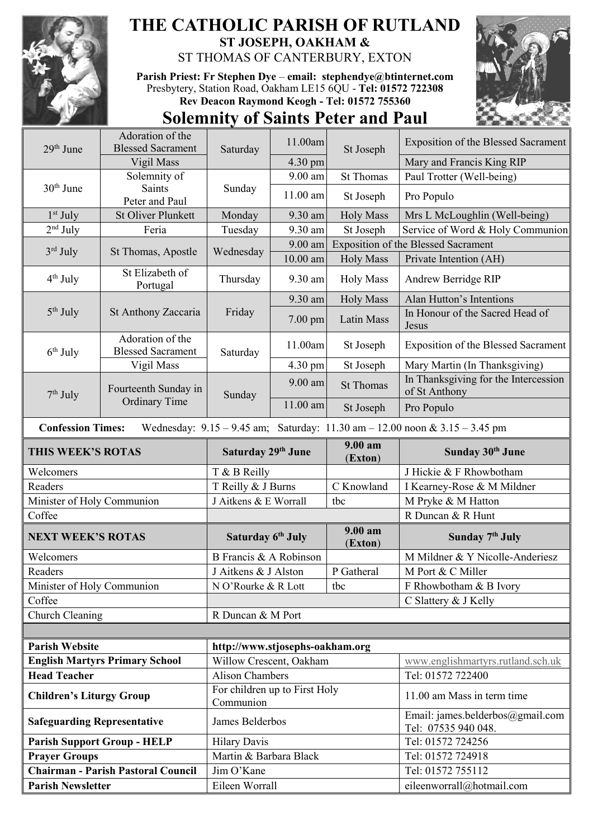

## **THE CATHOLIC PARISH OF RUTLAND ST JOSEPH, OAKHAM &**  ST THOMAS OF CANTERBURY, EXTON

**Parish Priest: Fr Stephen Dye** – **[email: stephendye@btinternet.com](mailto:email:%20%20stephendye@btinternet.com)** Presbytery, Station Road, Oakham LE15 6QU - **Tel: 01572 722308 Rev Deacon Raymond Keogh - Tel: 01572 755360**



## **Solemnity of Saints Peter and Paul**

| 29 <sup>th</sup> June              | Adoration of the<br><b>Blessed Sacrament</b>                                                                    |                                            | 11.00am    | St Joseph             | <b>Exposition of the Blessed Sacrament</b>              |  |  |
|------------------------------------|-----------------------------------------------------------------------------------------------------------------|--------------------------------------------|------------|-----------------------|---------------------------------------------------------|--|--|
|                                    | Vigil Mass                                                                                                      | Saturday                                   | 4.30 pm    |                       | Mary and Francis King RIP                               |  |  |
| $30th$ June                        | Solemnity of                                                                                                    |                                            | 9.00 am    | <b>St Thomas</b>      | Paul Trotter (Well-being)                               |  |  |
|                                    | <b>Saints</b><br>Peter and Paul                                                                                 | Sunday                                     | $11.00$ am | St Joseph             | Pro Populo                                              |  |  |
| $1st$ July                         | <b>St Oliver Plunkett</b>                                                                                       | Monday                                     | 9.30 am    | <b>Holy Mass</b>      | Mrs L McLoughlin (Well-being)                           |  |  |
| $2nd$ July                         | Feria                                                                                                           | Tuesday                                    | 9.30 am    | St Joseph             | Service of Word & Holy Communion                        |  |  |
| $3rd$ July                         | St Thomas, Apostle                                                                                              | Wednesday                                  | 9.00 am    |                       | <b>Exposition of the Blessed Sacrament</b>              |  |  |
|                                    |                                                                                                                 |                                            | $10.00$ am | <b>Holy Mass</b>      | Private Intention (AH)                                  |  |  |
| $4th$ July                         | St Elizabeth of<br>Portugal                                                                                     | Thursday                                   | 9.30 am    | <b>Holy Mass</b>      | Andrew Berridge RIP                                     |  |  |
|                                    | St Anthony Zaccaria                                                                                             | Friday                                     | 9.30 am    | <b>Holy Mass</b>      | Alan Hutton's Intentions                                |  |  |
| $5th$ July                         |                                                                                                                 |                                            | $7.00$ pm  | Latin Mass            | In Honour of the Sacred Head of<br>Jesus                |  |  |
| $6th$ July                         | Adoration of the<br><b>Blessed Sacrament</b>                                                                    | Saturday                                   | 11.00am    | St Joseph             | <b>Exposition of the Blessed Sacrament</b>              |  |  |
|                                    | Vigil Mass                                                                                                      |                                            | 4.30 pm    | St Joseph             | Mary Martin (In Thanksgiving)                           |  |  |
| $7th$ July                         | Fourteenth Sunday in<br><b>Ordinary Time</b>                                                                    | Sunday                                     | $9.00$ am  | <b>St Thomas</b>      | In Thanksgiving for the Intercession<br>of St Anthony   |  |  |
|                                    |                                                                                                                 |                                            | $11.00$ am | St Joseph             | Pro Populo                                              |  |  |
|                                    | Wednesday: $9.15 - 9.45$ am; Saturday: $11.30$ am $- 12.00$ noon & $3.15 - 3.45$ pm<br><b>Confession Times:</b> |                                            |            |                       |                                                         |  |  |
| THIS WEEK'S ROTAS                  |                                                                                                                 | Saturday 29th June                         |            | 9.00 am<br>(Exton)    | Sunday 30th June                                        |  |  |
| Welcomers                          |                                                                                                                 | T & B Reilly                               |            |                       |                                                         |  |  |
|                                    |                                                                                                                 |                                            |            |                       | J Hickie & F Rhowbotham                                 |  |  |
| Readers                            |                                                                                                                 | T Reilly & J Burns                         |            | C Knowland            | I Kearney-Rose & M Mildner                              |  |  |
| Minister of Holy Communion         |                                                                                                                 | J Aitkens & E Worrall                      |            | tbc                   | M Pryke & M Hatton                                      |  |  |
| Coffee                             |                                                                                                                 |                                            |            |                       | R Duncan & R Hunt                                       |  |  |
| <b>NEXT WEEK'S ROTAS</b>           |                                                                                                                 | Saturday 6th July                          |            | $9.00 a$ m<br>(Exton) | Sunday 7 <sup>th</sup> July                             |  |  |
| Welcomers                          |                                                                                                                 | B Francis & A Robinson                     |            |                       | M Mildner & Y Nicolle-Anderiesz                         |  |  |
| Readers                            |                                                                                                                 | J Aitkens & J Alston                       |            | P Gatheral            | M Port & C Miller                                       |  |  |
| Minister of Holy Communion         |                                                                                                                 | N O'Rourke & R Lott                        |            | tbc                   | F Rhowbotham & B Ivory                                  |  |  |
| Coffee                             |                                                                                                                 |                                            |            |                       | C Slattery & J Kelly                                    |  |  |
| Church Cleaning                    |                                                                                                                 | R Duncan & M Port                          |            |                       |                                                         |  |  |
|                                    |                                                                                                                 |                                            |            |                       |                                                         |  |  |
| <b>Parish Website</b>              |                                                                                                                 | http://www.stjosephs-oakham.org            |            |                       |                                                         |  |  |
|                                    | <b>English Martyrs Primary School</b>                                                                           | Willow Crescent, Oakham                    |            |                       | www.englishmartyrs.rutland.sch.uk                       |  |  |
| <b>Head Teacher</b>                |                                                                                                                 | <b>Alison Chambers</b>                     |            |                       | Tel: 01572 722400                                       |  |  |
| <b>Children's Liturgy Group</b>    |                                                                                                                 | For children up to First Holy<br>Communion |            |                       | 11.00 am Mass in term time                              |  |  |
| <b>Safeguarding Representative</b> |                                                                                                                 | James Belderbos                            |            |                       | Email: james.belderbos@gmail.com<br>Tel: 07535 940 048. |  |  |
|                                    | <b>Parish Support Group - HELP</b>                                                                              | <b>Hilary Davis</b>                        |            |                       | Tel: 01572 724256                                       |  |  |
| <b>Prayer Groups</b>               |                                                                                                                 | Martin & Barbara Black                     |            |                       | Tel: 01572 724918                                       |  |  |
|                                    | <b>Chairman - Parish Pastoral Council</b>                                                                       | Jim O'Kane                                 |            |                       | Tel: 01572 755112                                       |  |  |